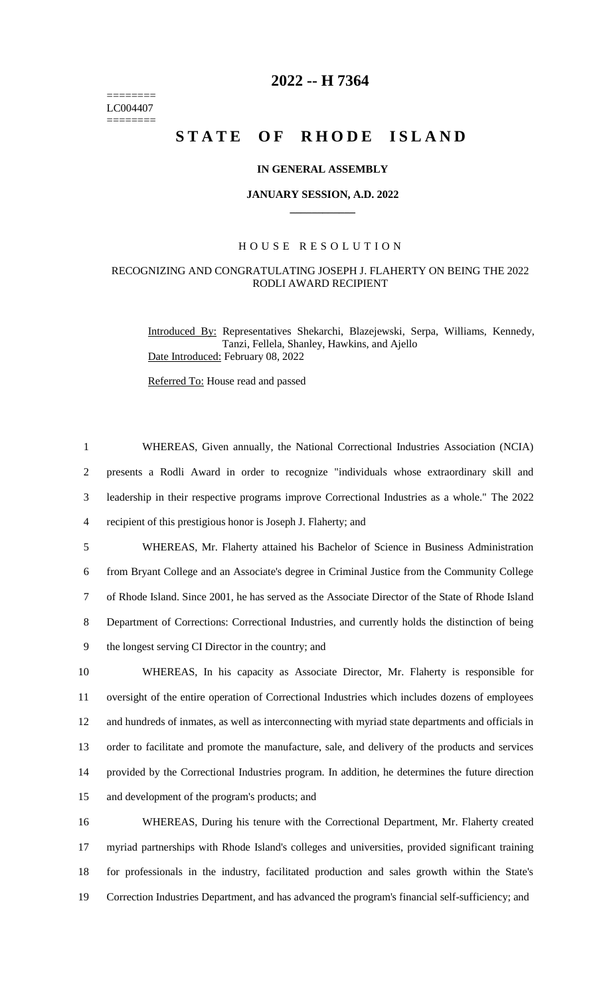======== LC004407  $=$ 

## **2022 -- H 7364**

# **STATE OF RHODE ISLAND**

### **IN GENERAL ASSEMBLY**

### **JANUARY SESSION, A.D. 2022 \_\_\_\_\_\_\_\_\_\_\_\_**

#### H O U S E R E S O L U T I O N

### RECOGNIZING AND CONGRATULATING JOSEPH J. FLAHERTY ON BEING THE 2022 RODLI AWARD RECIPIENT

Introduced By: Representatives Shekarchi, Blazejewski, Serpa, Williams, Kennedy, Tanzi, Fellela, Shanley, Hawkins, and Ajello Date Introduced: February 08, 2022

Referred To: House read and passed

| $\mathbf{1}$   | WHEREAS, Given annually, the National Correctional Industries Association (NCIA)                   |
|----------------|----------------------------------------------------------------------------------------------------|
| $\overline{c}$ | presents a Rodli Award in order to recognize "individuals whose extraordinary skill and            |
| 3              | leadership in their respective programs improve Correctional Industries as a whole." The 2022      |
| $\overline{4}$ | recipient of this prestigious honor is Joseph J. Flaherty; and                                     |
| 5              | WHEREAS, Mr. Flaherty attained his Bachelor of Science in Business Administration                  |
| 6              | from Bryant College and an Associate's degree in Criminal Justice from the Community College       |
| $\tau$         | of Rhode Island. Since 2001, he has served as the Associate Director of the State of Rhode Island  |
| 8              | Department of Corrections: Correctional Industries, and currently holds the distinction of being   |
| 9              | the longest serving CI Director in the country; and                                                |
| 10             | WHEREAS, In his capacity as Associate Director, Mr. Flaherty is responsible for                    |
| 11             | oversight of the entire operation of Correctional Industries which includes dozens of employees    |
| 12             | and hundreds of inmates, as well as interconnecting with myriad state departments and officials in |
| 13             | order to facilitate and promote the manufacture, sale, and delivery of the products and services   |
| 14             | provided by the Correctional Industries program. In addition, he determines the future direction   |
| 15             | and development of the program's products; and                                                     |
| 16             | WHEREAS, During his tenure with the Correctional Department, Mr. Flaherty created                  |
| 17             | myriad partnerships with Rhode Island's colleges and universities, provided significant training   |
| 18             | for professionals in the industry, facilitated production and sales growth within the State's      |
| 19             | Correction Industries Department, and has advanced the program's financial self-sufficiency; and   |